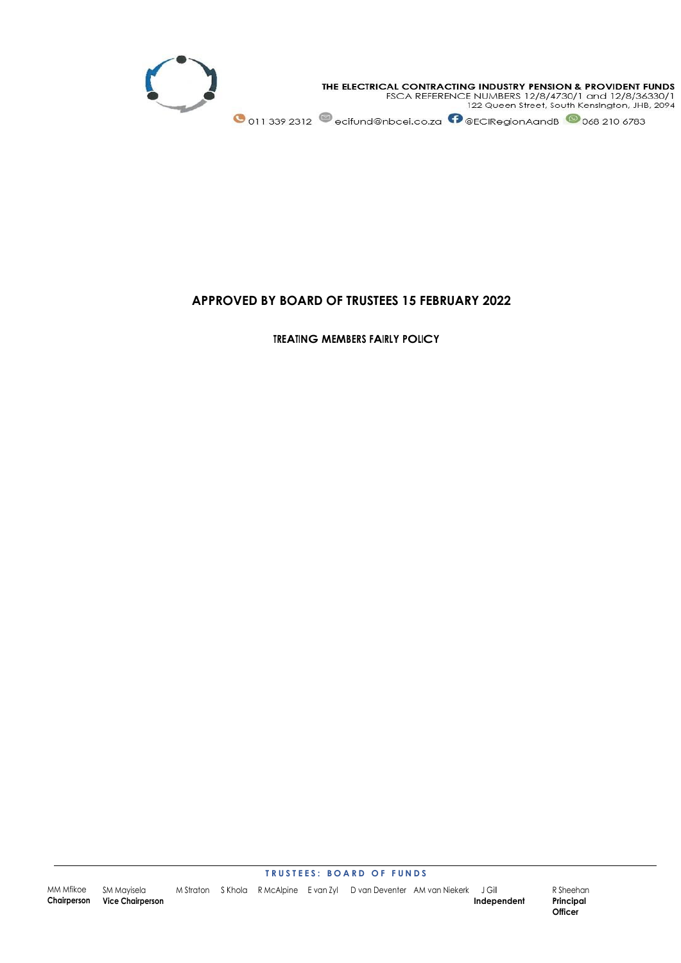

# **APPROVED BY BOARD OF TRUSTEES 15 FEBRUARY 2022**

**TREATING MEMBERS FAIRLY POLICY**

#### **T R U S T E E S : B O A R D O F F U N D S**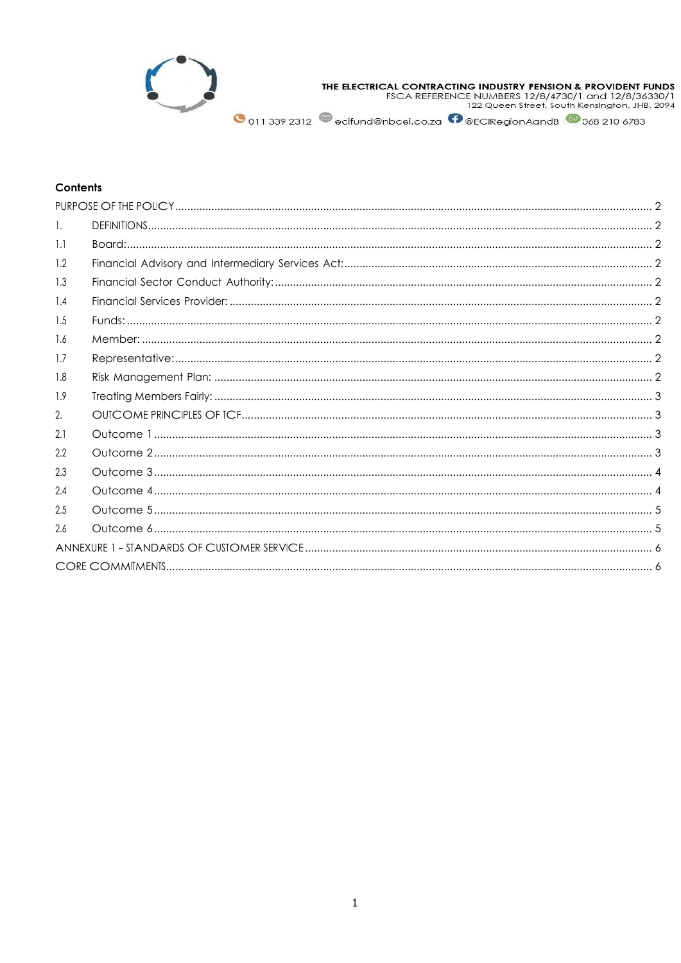

THE ELECTRICAL CONTRACTING INDUSTRY PENSION & PROVIDENT FUNDS<br>FSCA REFERENCE NUMBERS 12/8/4730/1 and 12/8/36330/1<br>122 Queen Street, South Kensington, JHB, 2094

O 011 339 2312 ecifund@nbcei.co.za ©@ECIRegionAandB © 068 210 6783

# **Contents**

| Ι.  |  |  |
|-----|--|--|
| 1.1 |  |  |
| 1.2 |  |  |
| 1.3 |  |  |
| 1.4 |  |  |
| 1.5 |  |  |
| 1.6 |  |  |
| 1.7 |  |  |
| 1.8 |  |  |
| 1.9 |  |  |
| 2.  |  |  |
| 2.1 |  |  |
| 2.2 |  |  |
| 2.3 |  |  |
| 2.4 |  |  |
| 2.5 |  |  |
| 2.6 |  |  |
|     |  |  |
|     |  |  |
|     |  |  |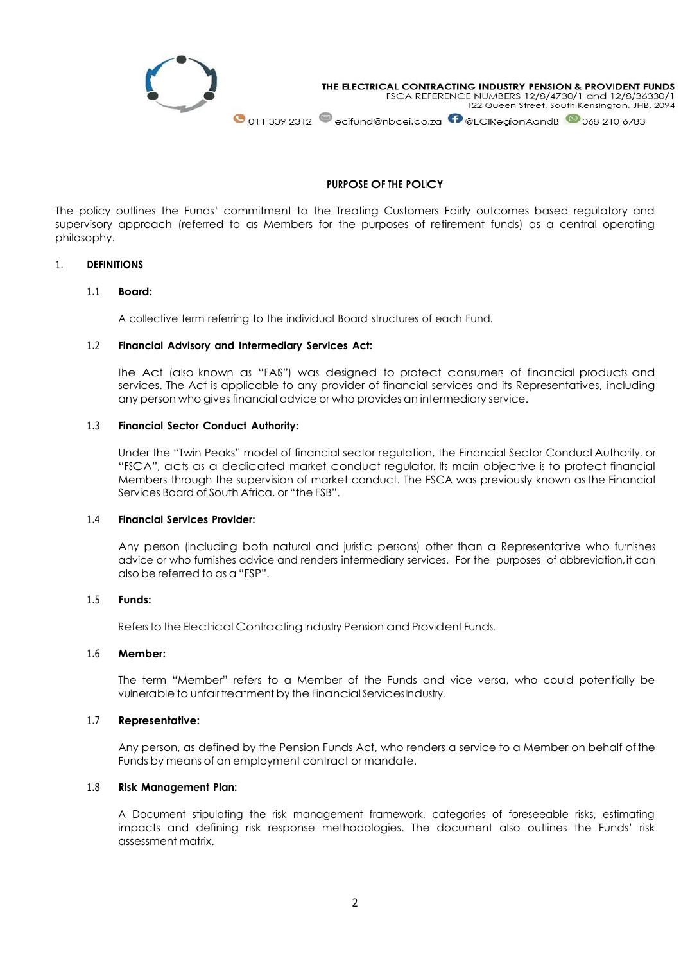

# **PURPOSE OF THE POLICY**

<span id="page-2-0"></span>The policy outlines the Funds' commitment to the Treating Customers Fairly outcomes based regulatory and supervisory approach (referred to as Members for the purposes of retirement funds) as a central operating philosophy.

# <span id="page-2-2"></span><span id="page-2-1"></span>1. **DEFINITIONS**

#### 1.1 **Board:**

A collective term referring to the individual Board structures of each Fund.

#### <span id="page-2-3"></span>1.2 **Financial Advisory and Intermediary Services Act:**

The Act (also known as "FAIS") was designed to protect consumers of financial products and services. The Act is applicable to any provider of financial services and its Representatives, including any person who gives financial advice or who provides an intermediary service.

### <span id="page-2-4"></span>1.3 **Financial Sector Conduct Authority:**

Under the "Twin Peaks" model of financial sector regulation, the Financial Sector ConductAuthority, or "FSCA", acts as a dedicated market conduct regulator. Its main objective is to protect financial Members through the supervision of market conduct. The FSCA was previously known as the Financial Services Board of South Africa, or "the FSB".

#### <span id="page-2-5"></span>1.4 **Financial Services Provider:**

Any person (including both natural and juristic persons) other than a Representative who furnishes advice or who furnishes advice and renders intermediary services. For the purposes of abbreviation,it can also be referred to as a "FSP".

#### <span id="page-2-6"></span>1.5 **Funds:**

Refers to the Electrical Contracting Industry Pension and Provident Funds.

#### <span id="page-2-7"></span>1.6 **Member:**

The term "Member" refers to a Member of the Funds and vice versa, who could potentially be vulnerable to unfair treatment by the Financial Services Industry.

### <span id="page-2-8"></span>1.7 **Representative:**

Any person, as defined by the Pension Funds Act, who renders a service to a Member on behalf ofthe Funds by means of an employment contract or mandate.

## <span id="page-2-9"></span>1.8 **Risk Management Plan:**

A Document stipulating the risk management framework, categories of foreseeable risks, estimating impacts and defining risk response methodologies. The document also outlines the Funds' risk assessment matrix.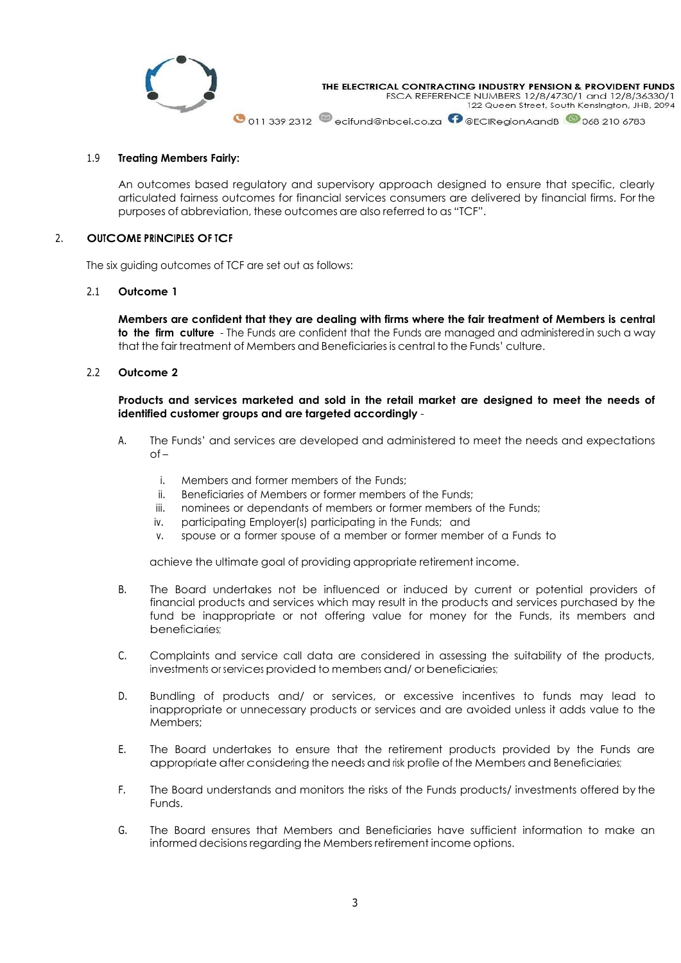

#### <span id="page-3-0"></span>1.9 **Treating Members Fairly:**

An outcomes based regulatory and supervisory approach designed to ensure that specific, clearly articulated fairness outcomes for financial services consumers are delivered by financial firms. For the purposes of abbreviation, these outcomes are also referred to as "TCF".

# <span id="page-3-1"></span>2. **OUTCOME PRINCIPLES OF TCF**

The six guiding outcomes of TCF are set out as follows:

#### <span id="page-3-2"></span>2.1 **Outcome 1**

**Members are confident that they are dealing with firms where the fair treatment of Members is central to the firm culture** - The Funds are confident that the Funds are managed and administeredin such a way that the fair treatment of Members and Beneficiaries is central to the Funds' culture.

<span id="page-3-3"></span>2.2 **Outcome 2**

**Products and services marketed and sold in the retail market are designed to meet the needs of identified customer groups and are targeted accordingly** -

- A. The Funds' and services are developed and administered to meet the needs and expectations  $of$ 
	- i. Members and former members of the Funds;
	- ii. Beneficiaries of Members or former members of the Funds;
	- iii. nominees or dependants of members or former members of the Funds;
	- iv. participating Employer(s) participating in the Funds; and
	- v. spouse or a former spouse of a member or former member of a Funds to

achieve the ultimate goal of providing appropriate retirement income.

- B. The Board undertakes not be influenced or induced by current or potential providers of financial products and services which may result in the products and services purchased by the fund be inappropriate or not offering value for money for the Funds, its members and beneficiaries;
- C. Complaints and service call data are considered in assessing the suitability of the products, investments or services provided to members and/ or beneficiaries;
- D. Bundling of products and/ or services, or excessive incentives to funds may lead to inappropriate or unnecessary products or services and are avoided unless it adds value to the Members;
- E. The Board undertakes to ensure that the retirement products provided by the Funds are appropriate after considering the needs and risk profile of the Members and Beneficiaries;
- F. The Board understands and monitors the risks of the Funds products/ investments offered by the Funds.
- G. The Board ensures that Members and Beneficiaries have sufficient information to make an informed decisions regarding the Members retirement income options.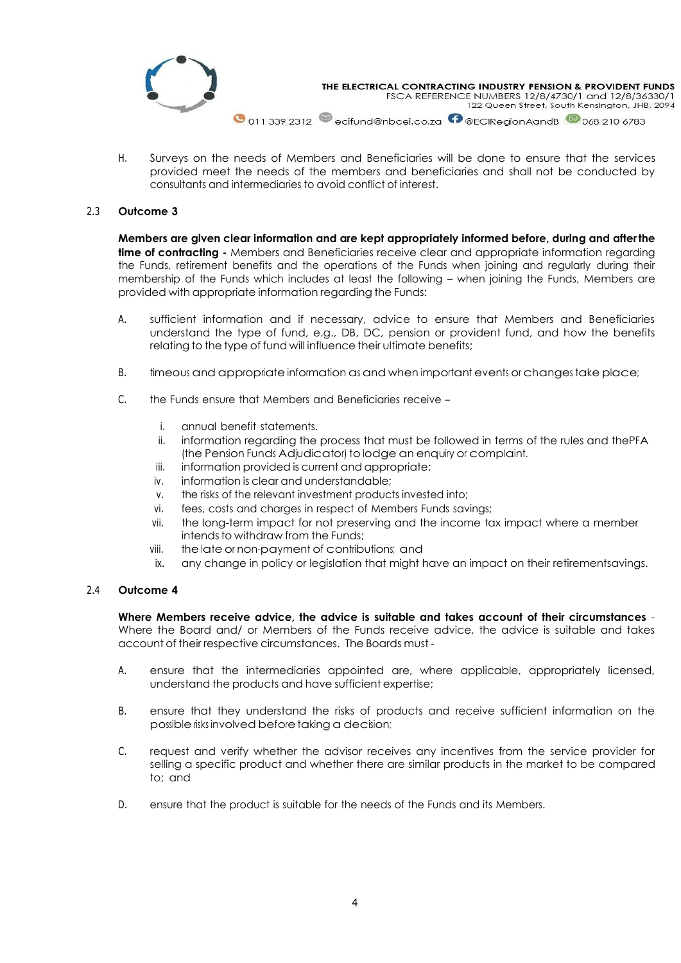

H. Surveys on the needs of Members and Beneficiaries will be done to ensure that the services provided meet the needs of the members and beneficiaries and shall not be conducted by consultants and intermediaries to avoid conflict of interest.

# <span id="page-4-0"></span>2.3 **Outcome 3**

**Members are given clear information and are kept appropriately informed before, during and afterthe time of contracting -** Members and Beneficiaries receive clear and appropriate information regarding the Funds, retirement benefits and the operations of the Funds when joining and regularly during their membership of the Funds which includes at least the following – when joining the Funds, Members are provided with appropriate information regarding the Funds:

- A. sufficient information and if necessary, advice to ensure that Members and Beneficiaries understand the type of fund, e.g., DB, DC, pension or provident fund, and how the benefits relating to the type of fund will influence their ultimate benefits;
- B. timeous and appropriate information as and when important events or changes take place;
- C. the Funds ensure that Members and Beneficiaries receive
	- i. annual benefit statements.
	- ii. information regarding the process that must be followed in terms of the rules and thePFA (the Pension Funds Adjudicator) to lodge an enquiry or complaint.
	- iii. information provided is current and appropriate;
	- iv. information is clear and understandable;
	- v. the risks of the relevant investment products invested into;
	- vi. fees, costs and charges in respect of Members Funds savings;
	- vii. the long-term impact for not preserving and the income tax impact where a member intends to withdraw from the Funds:
	- viii. the late or non-payment of contributions; and
	- ix. any change in policy or legislation that might have an impact on their retirementsavings.

### <span id="page-4-1"></span>2.4 **Outcome 4**

**Where Members receive advice, the advice is suitable and takes account of their circumstances** - Where the Board and/ or Members of the Funds receive advice, the advice is suitable and takes account of their respective circumstances. The Boards must -

- A. ensure that the intermediaries appointed are, where applicable, appropriately licensed, understand the products and have sufficient expertise;
- B. ensure that they understand the risks of products and receive sufficient information on the possible risks involved before taking a decision;
- C. request and verify whether the advisor receives any incentives from the service provider for selling a specific product and whether there are similar products in the market to be compared to; and
- D. ensure that the product is suitable for the needs of the Funds and its Members.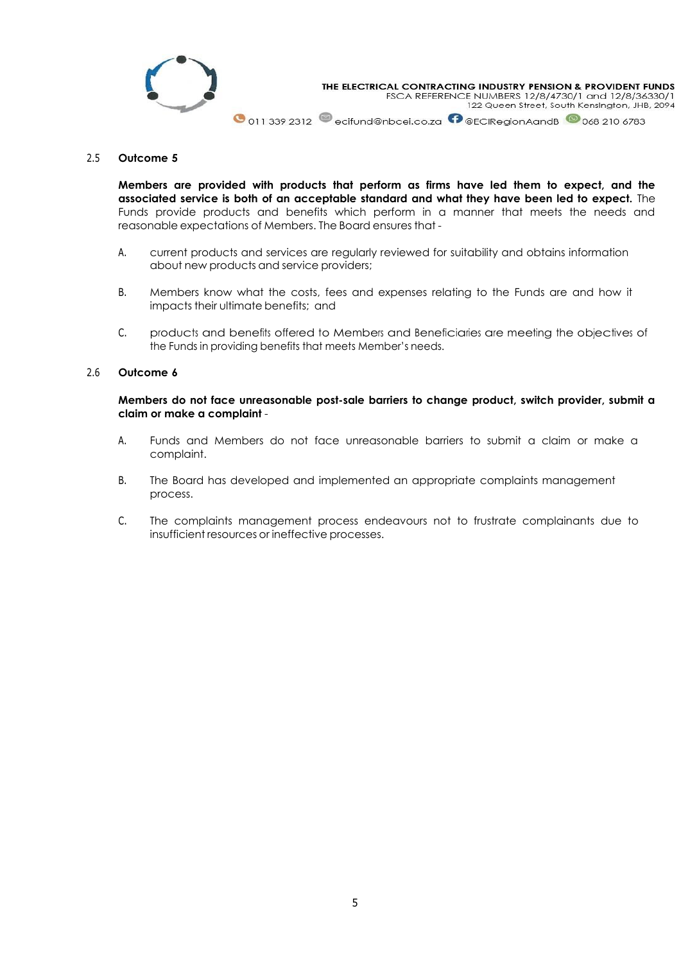

## <span id="page-5-0"></span>2.5 **Outcome 5**

**Members are provided with products that perform as firms have led them to expect, and the associated service is both of an acceptable standard and what they have been led to expect.** The Funds provide products and benefits which perform in a manner that meets the needs and reasonable expectations of Members. The Board ensures that -

- A. current products and services are regularly reviewed for suitability and obtains information about new products and service providers;
- B. Members know what the costs, fees and expenses relating to the Funds are and how it impacts their ultimate benefits; and
- C. products and benefits offered to Members and Beneficiaries are meeting the objectives of the Funds in providing benefits that meets Member's needs.

# <span id="page-5-1"></span>2.6 **Outcome 6**

**Members do not face unreasonable post-sale barriers to change product, switch provider, submit a claim or make a complaint** -

- A. Funds and Members do not face unreasonable barriers to submit a claim or make a complaint.
- B. The Board has developed and implemented an appropriate complaints management process.
- C. The complaints management process endeavours not to frustrate complainants due to insufficient resources or ineffective processes.